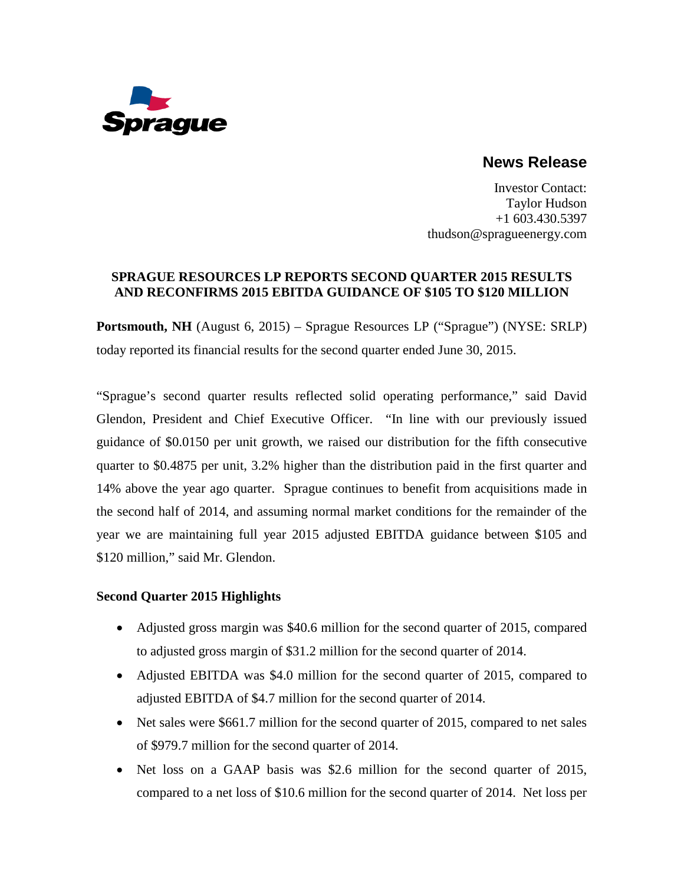

# **News Release**

Investor Contact: Taylor Hudson +1 603.430.5397 thudson@spragueenergy.com

# **SPRAGUE RESOURCES LP REPORTS SECOND QUARTER 2015 RESULTS AND RECONFIRMS 2015 EBITDA GUIDANCE OF \$105 TO \$120 MILLION**

**Portsmouth, NH** (August 6, 2015) – Sprague Resources LP ("Sprague") (NYSE: SRLP) today reported its financial results for the second quarter ended June 30, 2015.

"Sprague's second quarter results reflected solid operating performance," said David Glendon, President and Chief Executive Officer. "In line with our previously issued guidance of \$0.0150 per unit growth, we raised our distribution for the fifth consecutive quarter to \$0.4875 per unit, 3.2% higher than the distribution paid in the first quarter and 14% above the year ago quarter. Sprague continues to benefit from acquisitions made in the second half of 2014, and assuming normal market conditions for the remainder of the year we are maintaining full year 2015 adjusted EBITDA guidance between \$105 and \$120 million," said Mr. Glendon.

# **Second Quarter 2015 Highlights**

- Adjusted gross margin was \$40.6 million for the second quarter of 2015, compared to adjusted gross margin of \$31.2 million for the second quarter of 2014.
- Adjusted EBITDA was \$4.0 million for the second quarter of 2015, compared to adjusted EBITDA of \$4.7 million for the second quarter of 2014.
- Net sales were \$661.7 million for the second quarter of 2015, compared to net sales of \$979.7 million for the second quarter of 2014.
- Net loss on a GAAP basis was \$2.6 million for the second quarter of 2015, compared to a net loss of \$10.6 million for the second quarter of 2014. Net loss per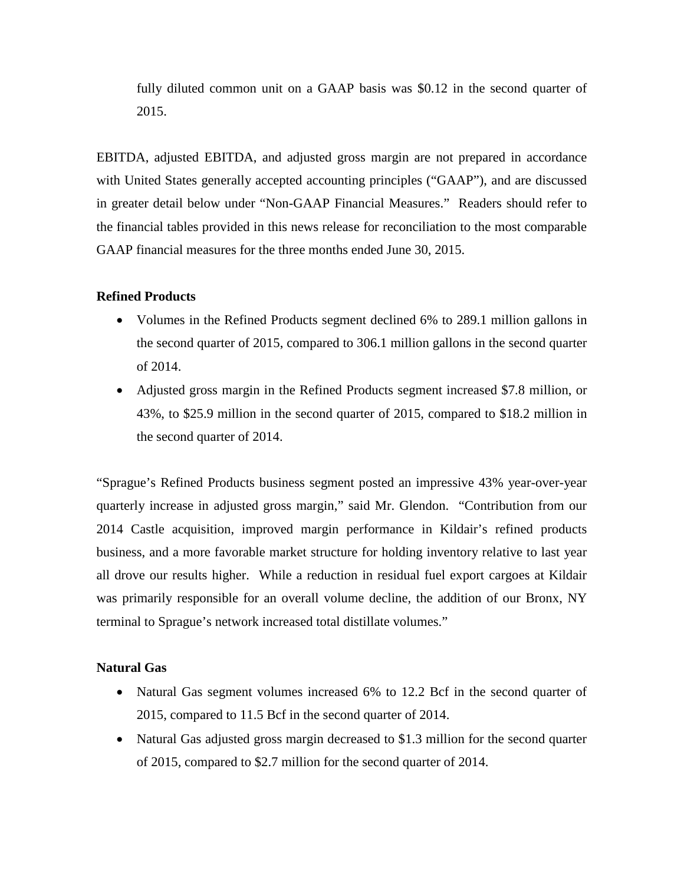fully diluted common unit on a GAAP basis was \$0.12 in the second quarter of 2015.

EBITDA, adjusted EBITDA, and adjusted gross margin are not prepared in accordance with United States generally accepted accounting principles ("GAAP"), and are discussed in greater detail below under "Non-GAAP Financial Measures." Readers should refer to the financial tables provided in this news release for reconciliation to the most comparable GAAP financial measures for the three months ended June 30, 2015.

# **Refined Products**

- Volumes in the Refined Products segment declined 6% to 289.1 million gallons in the second quarter of 2015, compared to 306.1 million gallons in the second quarter of 2014.
- Adjusted gross margin in the Refined Products segment increased \$7.8 million, or 43%, to \$25.9 million in the second quarter of 2015, compared to \$18.2 million in the second quarter of 2014.

"Sprague's Refined Products business segment posted an impressive 43% year-over-year quarterly increase in adjusted gross margin," said Mr. Glendon. "Contribution from our 2014 Castle acquisition, improved margin performance in Kildair's refined products business, and a more favorable market structure for holding inventory relative to last year all drove our results higher. While a reduction in residual fuel export cargoes at Kildair was primarily responsible for an overall volume decline, the addition of our Bronx, NY terminal to Sprague's network increased total distillate volumes."

#### **Natural Gas**

- Natural Gas segment volumes increased 6% to 12.2 Bcf in the second quarter of 2015, compared to 11.5 Bcf in the second quarter of 2014.
- Natural Gas adjusted gross margin decreased to \$1.3 million for the second quarter of 2015, compared to \$2.7 million for the second quarter of 2014.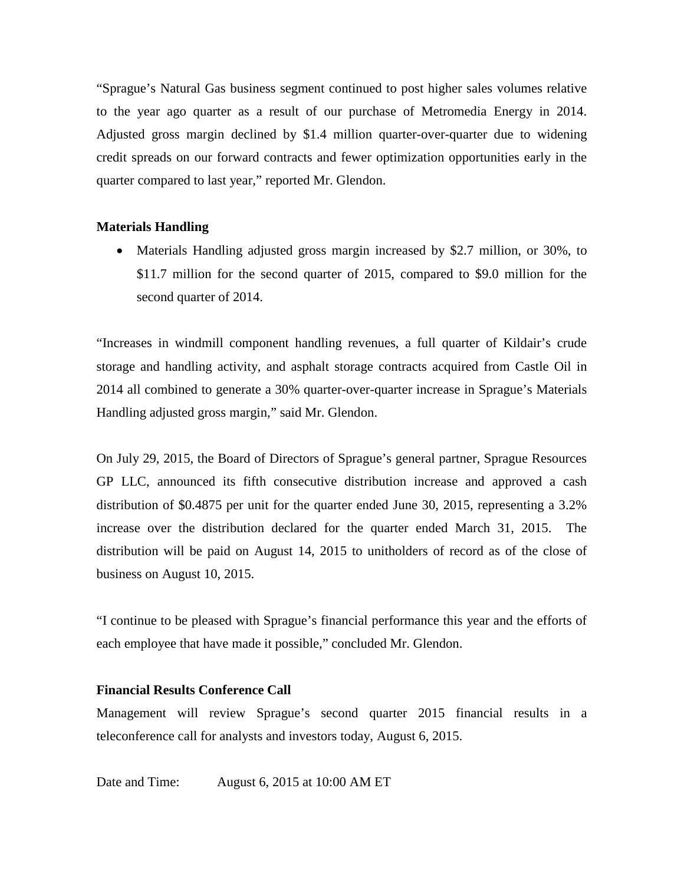"Sprague's Natural Gas business segment continued to post higher sales volumes relative to the year ago quarter as a result of our purchase of Metromedia Energy in 2014. Adjusted gross margin declined by \$1.4 million quarter-over-quarter due to widening credit spreads on our forward contracts and fewer optimization opportunities early in the quarter compared to last year," reported Mr. Glendon.

#### **Materials Handling**

• Materials Handling adjusted gross margin increased by \$2.7 million, or 30%, to \$11.7 million for the second quarter of 2015, compared to \$9.0 million for the second quarter of 2014.

"Increases in windmill component handling revenues, a full quarter of Kildair's crude storage and handling activity, and asphalt storage contracts acquired from Castle Oil in 2014 all combined to generate a 30% quarter-over-quarter increase in Sprague's Materials Handling adjusted gross margin," said Mr. Glendon.

On July 29, 2015, the Board of Directors of Sprague's general partner, Sprague Resources GP LLC, announced its fifth consecutive distribution increase and approved a cash distribution of \$0.4875 per unit for the quarter ended June 30, 2015, representing a 3.2% increase over the distribution declared for the quarter ended March 31, 2015. The distribution will be paid on August 14, 2015 to unitholders of record as of the close of business on August 10, 2015.

"I continue to be pleased with Sprague's financial performance this year and the efforts of each employee that have made it possible," concluded Mr. Glendon.

### **Financial Results Conference Call**

Management will review Sprague's second quarter 2015 financial results in a teleconference call for analysts and investors today, August 6, 2015.

Date and Time: August 6, 2015 at 10:00 AM ET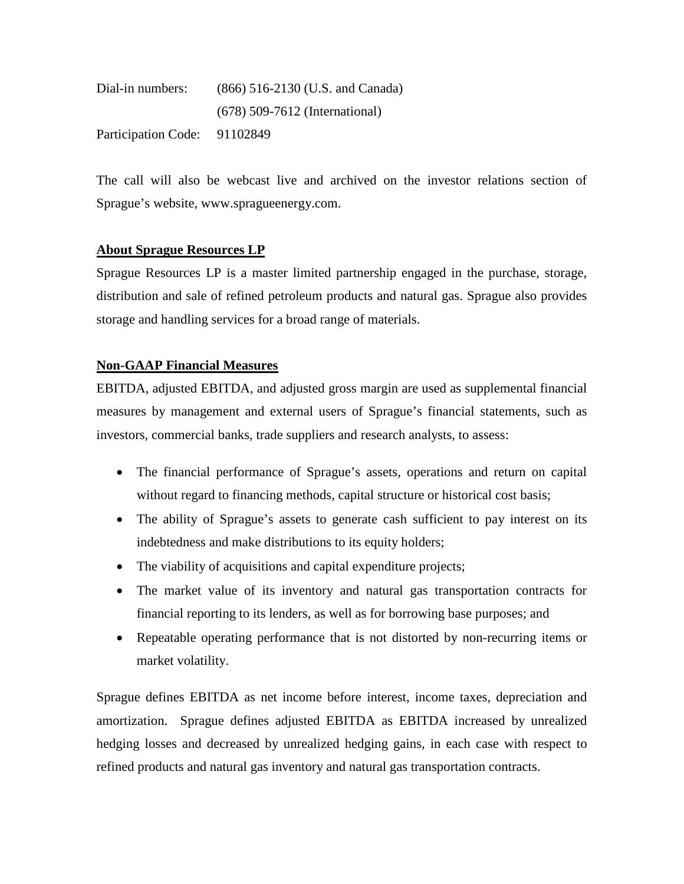| Dial-in numbers:           | (866) 516-2130 (U.S. and Canada) |
|----------------------------|----------------------------------|
|                            | $(678)$ 509-7612 (International) |
| <b>Participation Code:</b> | 91102849                         |

The call will also be webcast live and archived on the investor relations section of Sprague's website, [www.spragueenergy.com.](http://www.spragueenergy.com/)

# **About Sprague Resources LP**

Sprague Resources LP is a master limited partnership engaged in the purchase, storage, distribution and sale of refined petroleum products and natural gas. Sprague also provides storage and handling services for a broad range of materials.

# **Non-GAAP Financial Measures**

EBITDA, adjusted EBITDA, and adjusted gross margin are used as supplemental financial measures by management and external users of Sprague's financial statements, such as investors, commercial banks, trade suppliers and research analysts, to assess:

- The financial performance of Sprague's assets, operations and return on capital without regard to financing methods, capital structure or historical cost basis;
- The ability of Sprague's assets to generate cash sufficient to pay interest on its indebtedness and make distributions to its equity holders;
- The viability of acquisitions and capital expenditure projects;
- The market value of its inventory and natural gas transportation contracts for financial reporting to its lenders, as well as for borrowing base purposes; and
- Repeatable operating performance that is not distorted by non-recurring items or market volatility.

Sprague defines EBITDA as net income before interest, income taxes, depreciation and amortization. Sprague defines adjusted EBITDA as EBITDA increased by unrealized hedging losses and decreased by unrealized hedging gains, in each case with respect to refined products and natural gas inventory and natural gas transportation contracts.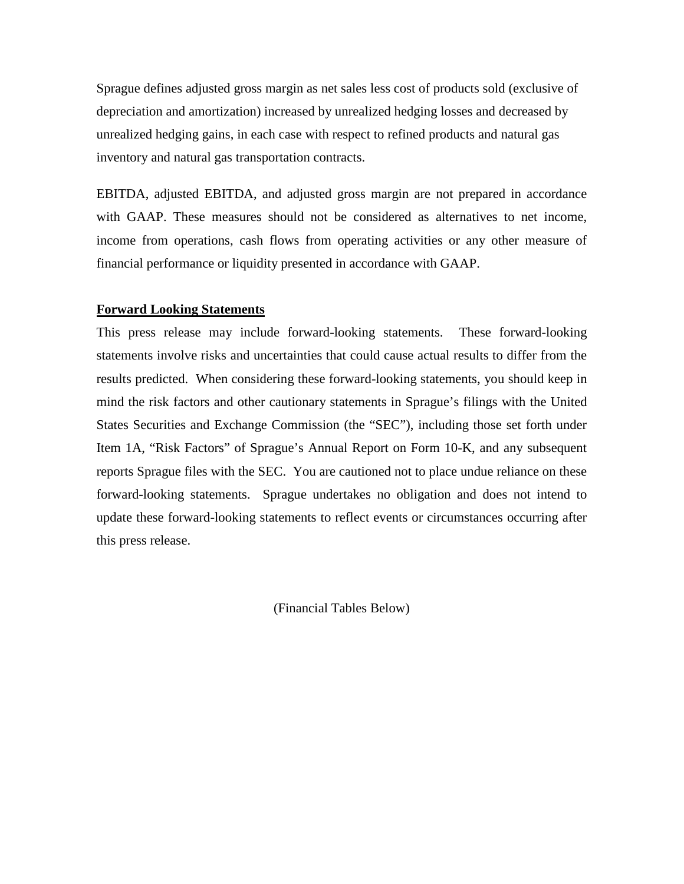Sprague defines adjusted gross margin as net sales less cost of products sold (exclusive of depreciation and amortization) increased by unrealized hedging losses and decreased by unrealized hedging gains, in each case with respect to refined products and natural gas inventory and natural gas transportation contracts.

EBITDA, adjusted EBITDA, and adjusted gross margin are not prepared in accordance with GAAP. These measures should not be considered as alternatives to net income, income from operations, cash flows from operating activities or any other measure of financial performance or liquidity presented in accordance with GAAP.

#### **Forward Looking Statements**

This press release may include forward-looking statements. These forward-looking statements involve risks and uncertainties that could cause actual results to differ from the results predicted. When considering these forward-looking statements, you should keep in mind the risk factors and other cautionary statements in Sprague's filings with the United States Securities and Exchange Commission (the "SEC"), including those set forth under Item 1A, "Risk Factors" of Sprague's Annual Report on Form 10-K, and any subsequent reports Sprague files with the SEC. You are cautioned not to place undue reliance on these forward-looking statements. Sprague undertakes no obligation and does not intend to update these forward-looking statements to reflect events or circumstances occurring after this press release.

(Financial Tables Below)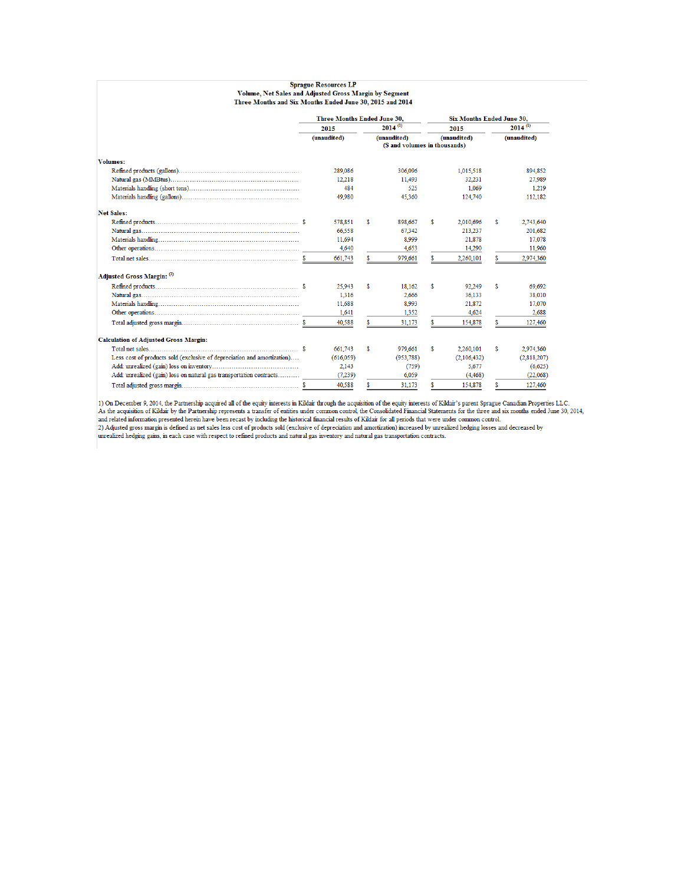|                                                                                                                    | <b>Sprague Resources LP</b>                                 |           |    |              |                                  |             |              |             |  |
|--------------------------------------------------------------------------------------------------------------------|-------------------------------------------------------------|-----------|----|--------------|----------------------------------|-------------|--------------|-------------|--|
| Volume, Net Sales and Adjusted Gross Margin by Segment<br>Three Months and Six Months Ended June 30, 2015 and 2014 |                                                             |           |    |              |                                  |             |              |             |  |
|                                                                                                                    | <b>Three Months Ended June 30,</b>                          |           |    |              | <b>Six Months Ended June 30,</b> |             |              |             |  |
|                                                                                                                    | 2015                                                        |           |    | $2014^{(1)}$ |                                  | 2015        | $2014^{(1)}$ |             |  |
|                                                                                                                    | (unaudited)<br>(unaudited)<br>(\$ and volumes in thousands) |           |    | (unaudited)  | (unaudited)                      |             |              |             |  |
| <b>Volumes:</b>                                                                                                    |                                                             |           |    |              |                                  |             |              |             |  |
|                                                                                                                    |                                                             | 289,086   |    | 306,096      |                                  | 1.015.518   |              | 894,852     |  |
|                                                                                                                    |                                                             | 12,218    |    | 11,493       |                                  | 32.231      |              | 27,989      |  |
|                                                                                                                    |                                                             | 484       |    | 525          |                                  | 1.069       |              | 1.219       |  |
|                                                                                                                    |                                                             | 49,980    |    | 45,360       |                                  | 124,740     |              | 112,182     |  |
| <b>Net Sales:</b>                                                                                                  |                                                             |           |    |              |                                  |             |              |             |  |
|                                                                                                                    |                                                             | 578,851   | s  | 898,667      | \$                               | 2,010,696   | \$           | 2,743,640   |  |
|                                                                                                                    |                                                             | 66,558    |    | 67.342       |                                  | 213,237     |              | 201,682     |  |
|                                                                                                                    |                                                             | 11,694    |    | 8.999        |                                  | 21,878      |              | 17,078      |  |
|                                                                                                                    |                                                             | 4,640     |    | 4.653        |                                  | 14.290      |              | 11,960      |  |
|                                                                                                                    |                                                             | 661,743   | S. | 979,661      | \$                               | 2,260,101   | \$           | 2,974,360   |  |
| Adjusted Gross Margin: (2)                                                                                         |                                                             |           |    |              |                                  |             |              |             |  |
|                                                                                                                    |                                                             | 25.943    | s  | 18.162       | s                                | 92.249      | \$           | 69.692      |  |
|                                                                                                                    |                                                             | 1.316     |    | 2.666        |                                  | 36.133      |              | 38,010      |  |
|                                                                                                                    |                                                             | 11,688    |    | 8,993        |                                  | 21,872      |              | 17,070      |  |
|                                                                                                                    |                                                             | 1.641     |    | 1.352        |                                  | 4.624       |              | 2.688       |  |
|                                                                                                                    |                                                             | 40.588    | S. | 31,173       | \$                               | 154,878     | \$           | 127,460     |  |
| <b>Calculation of Adjusted Gross Margin:</b>                                                                       |                                                             |           |    |              |                                  |             |              |             |  |
|                                                                                                                    |                                                             | 661.743   | s  | 979.661      | \$                               | 2,260,101   | \$           | 2,974,360   |  |
| Less cost of products sold (exclusive of depreciation and amortization)                                            |                                                             | (616.059) |    | (953.788)    |                                  | (2,106,432) |              | (2,818,207) |  |
|                                                                                                                    |                                                             | 2,143     |    | (759)        |                                  | 5,677       |              | (6,625)     |  |
| Add: unrealized (gain) loss on natural gas transportation contracts                                                |                                                             | (7,239)   |    | 6,059        |                                  | (4, 468)    |              | (22.068)    |  |
|                                                                                                                    |                                                             | 40.588    | S  | 31.173       | S.                               | 154,878     | S            | 127,460     |  |

1) On December 9, 2014, the Partnership acquired all of the equity interests in Kildair through the acquisition of the equity interests of Kildair's parent Sprague Canadian Properties LLC.<br>As the acquisition of Kildair by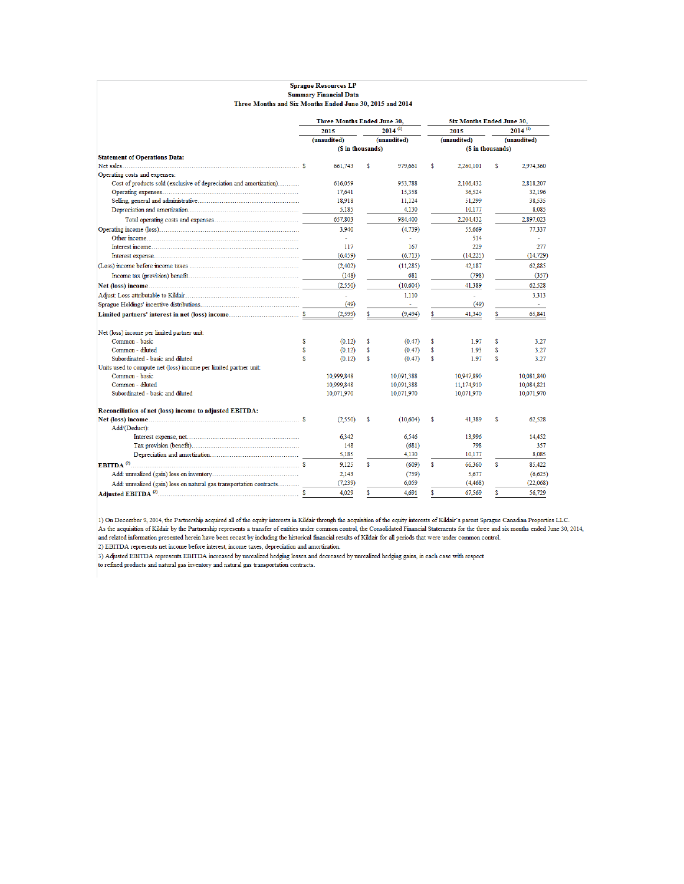|                                                                     | <b>Three Months Ended June 30,</b> |             |     |                          | <b>Six Months Ended June 30,</b> |             |     |              |  |
|---------------------------------------------------------------------|------------------------------------|-------------|-----|--------------------------|----------------------------------|-------------|-----|--------------|--|
|                                                                     |                                    | 2015        |     | $2014^{(1)}$             |                                  | 2015        |     | $2014^{(1)}$ |  |
|                                                                     |                                    | (unaudited) |     | (unaudited)              |                                  | (unaudited) |     | (unaudited)  |  |
|                                                                     | (\$ in thousands)                  |             |     |                          | (\$ in thousands)                |             |     |              |  |
| <b>Statement of Operations Data:</b>                                |                                    |             |     |                          |                                  |             |     |              |  |
|                                                                     |                                    | 661,743     | \$  | 979.661                  | \$                               | 2.260,101   | \$  | 2.974.360    |  |
| Operating costs and expenses:                                       |                                    |             |     |                          |                                  |             |     |              |  |
| Cost of products sold (exclusive of depreciation and amortization)  |                                    | 616,059     |     | 953.788                  |                                  | 2,106,432   |     | 2,818,207    |  |
|                                                                     |                                    | 17.641      |     | 15.358                   |                                  | 36.524      |     | 32.196       |  |
|                                                                     |                                    | 18,918      |     | 11.124                   |                                  | 51.299      |     | 38,535       |  |
|                                                                     |                                    | 5,185       |     | 4,130                    |                                  | 10,177      |     | 8,085        |  |
|                                                                     |                                    | 657,803     |     | 984,400                  |                                  | 2,204,432   |     | 2,897,023    |  |
|                                                                     |                                    | 3,940       |     | (4,739)                  |                                  | 55,669      |     | 77,337       |  |
|                                                                     |                                    | ÷.          |     | $\overline{\phantom{a}}$ |                                  | 514         |     |              |  |
|                                                                     |                                    | 117         |     | 167                      |                                  | 229         |     | 277          |  |
|                                                                     |                                    | (6, 459)    |     | (6, 713)                 |                                  | (14,225)    |     | (14, 729)    |  |
|                                                                     |                                    | (2,402)     |     | (11.285)                 |                                  | 42,187      |     | 62,885       |  |
|                                                                     |                                    | (148)       |     | 681                      |                                  | (798)       |     | (357)        |  |
|                                                                     |                                    | (2,550)     |     | (10,604)                 |                                  | 41,389      |     | 62,528       |  |
|                                                                     |                                    | $\omega$    |     | 1.110                    |                                  | L.          |     | 3.313        |  |
|                                                                     |                                    | (49)        |     | $\sim$                   |                                  | (49)        |     | $\sim$ $-$   |  |
|                                                                     |                                    | (2, 599)    | \$. | (9, 494)                 | S                                | 41,340      | \$. | 65,841       |  |
|                                                                     |                                    |             |     |                          |                                  |             |     |              |  |
| Net (loss) income per limited partner unit:                         |                                    |             |     |                          |                                  |             |     |              |  |
| Common - basic                                                      | Ś                                  | (0.12)      | Ŝ   | (0.47)                   | S                                | 197         | S   | 3.27         |  |
| Common - diluted                                                    | \$.                                | (0.12)      | \$  | (0.47)                   | \$                               | 1.93        | \$  | 3.27         |  |
| Subordinated - basic and diluted                                    | Ś                                  | (0.12)      | S   | (0.47)                   | S                                | 1.97        | S   | 3.27         |  |
| Units used to compute net (loss) income per limited partner unit:   |                                    |             |     |                          |                                  |             |     |              |  |
| Common - basic                                                      |                                    | 10,999,848  |     | 10,091,388               |                                  | 10,947,890  |     | 10,081,840   |  |
| Common - diluted                                                    |                                    | 10.999.848  |     | 10.091.388               |                                  | 11.174.910  |     | 10.084.821   |  |
| Subordinated - basic and diluted                                    |                                    | 10,071,970  |     | 10,071,970               |                                  | 10,071,970  |     | 10,071,970   |  |
| Reconciliation of net (loss) income to adjusted EBITDA:             |                                    |             |     |                          |                                  |             |     |              |  |
|                                                                     |                                    | (2,550)     | \$  | (10, 604)                | \$                               | 41.389      | S   | 62.528       |  |
| Add/(Deduct):                                                       |                                    |             |     |                          |                                  |             |     |              |  |
|                                                                     |                                    | 6.342       |     | 6.546                    |                                  | 13,996      |     | 14.452       |  |
|                                                                     |                                    | 148         |     | (681)                    |                                  | 798         |     | 357          |  |
|                                                                     |                                    | 5,185       |     | 4,130                    |                                  | 10,177      |     | 8.085        |  |
|                                                                     |                                    | 9.125       | \$  | (609)                    | \$                               | 66.360      | \$  | 85,422       |  |
|                                                                     |                                    | 2,143       |     | (759)                    |                                  | 5,677       |     | (6,625)      |  |
| Add: unrealized (gain) loss on natural gas transportation contracts |                                    | (7,239)     |     | 6,059                    |                                  | (4, 468)    |     | (22.068)     |  |
|                                                                     |                                    | 4.029       | \$  | 4.691                    | \$                               | 67.569      | \$  | 56.729       |  |

**Sprague Resources LP Summary Financial Data** 

1) On December 9, 2014, the Partnership acquired all of the equity interests in Kildair through the acquisition of the equity interests of Kildair's parent Sprague Canadian Properties LLC.<br>As the acquisition of Kildair by

2) EBITDA represents net income before interest, income taxes, depreciation and amortization.

3) Adjusted EBITDA represents EBITDA increased by unrealized hedging losses and decreased by unrealized hedging gains, in each case with respect

to refined products and natural gas inventory and natural gas transportation contracts.